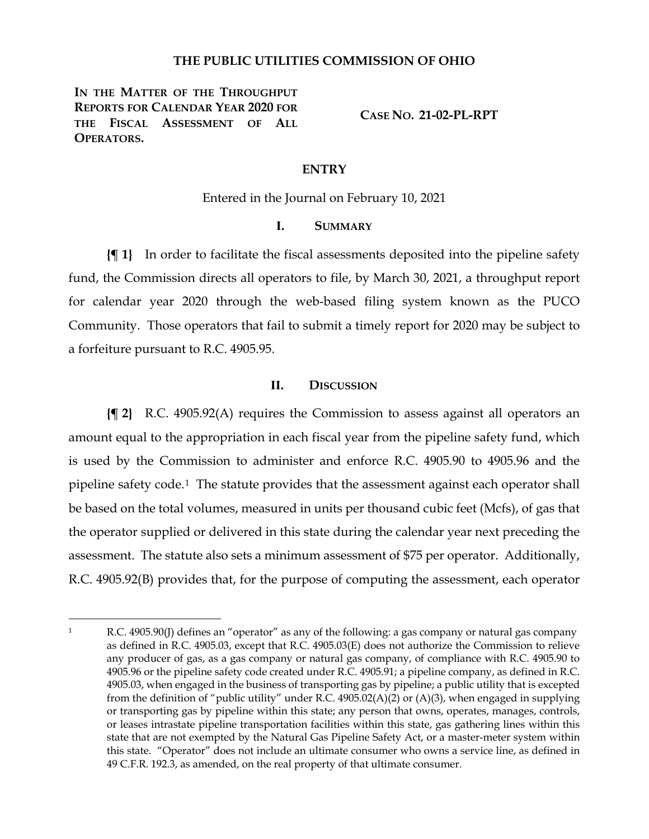## **THE PUBLIC UTILITIES COMMISSION OF OHIO**

**IN THE MATTER OF THE THROUGHPUT REPORTS FOR CALENDAR YEAR 2020 FOR THE FISCAL ASSESSMENT OF ALL OPERATORS.**

**CASE NO. 21-02-PL-RPT**

#### **ENTRY**

Entered in the Journal on February 10, 2021

#### **I. SUMMARY**

**{¶ 1}** In order to facilitate the fiscal assessments deposited into the pipeline safety fund, the Commission directs all operators to file, by March 30, 2021, a throughput report for calendar year 2020 through the web-based filing system known as the PUCO Community. Those operators that fail to submit a timely report for 2020 may be subject to a forfeiture pursuant to R.C. 4905.95.

#### **II. DISCUSSION**

**{¶ 2}** R.C. 4905.92(A) requires the Commission to assess against all operators an amount equal to the appropriation in each fiscal year from the pipeline safety fund, which is used by the Commission to administer and enforce R.C. 4905.90 to 4905.96 and the pipeline safety code.[1](#page-0-0) The statute provides that the assessment against each operator shall be based on the total volumes, measured in units per thousand cubic feet (Mcfs), of gas that the operator supplied or delivered in this state during the calendar year next preceding the assessment. The statute also sets a minimum assessment of \$75 per operator. Additionally, R.C. 4905.92(B) provides that, for the purpose of computing the assessment, each operator

<span id="page-0-0"></span><sup>1</sup> R.C. 4905.90(J) defines an "operator" as any of the following: a gas company or natural gas company as defined in R.C. 4905.03, except that R.C. 4905.03(E) does not authorize the Commission to relieve any producer of gas, as a gas company or natural gas company, of compliance with R.C. 4905.90 to 4905.96 or the pipeline safety code created under R.C. 4905.91; a pipeline company, as defined in R.C. 4905.03, when engaged in the business of transporting gas by pipeline; a public utility that is excepted from the definition of "public utility" under R.C. 4905.02(A)(2) or (A)(3), when engaged in supplying or transporting gas by pipeline within this state; any person that owns, operates, manages, controls, or leases intrastate pipeline transportation facilities within this state, gas gathering lines within this state that are not exempted by the Natural Gas Pipeline Safety Act, or a master-meter system within this state. "Operator" does not include an ultimate consumer who owns a service line, as defined in 49 C.F.R. 192.3, as amended, on the real property of that ultimate consumer.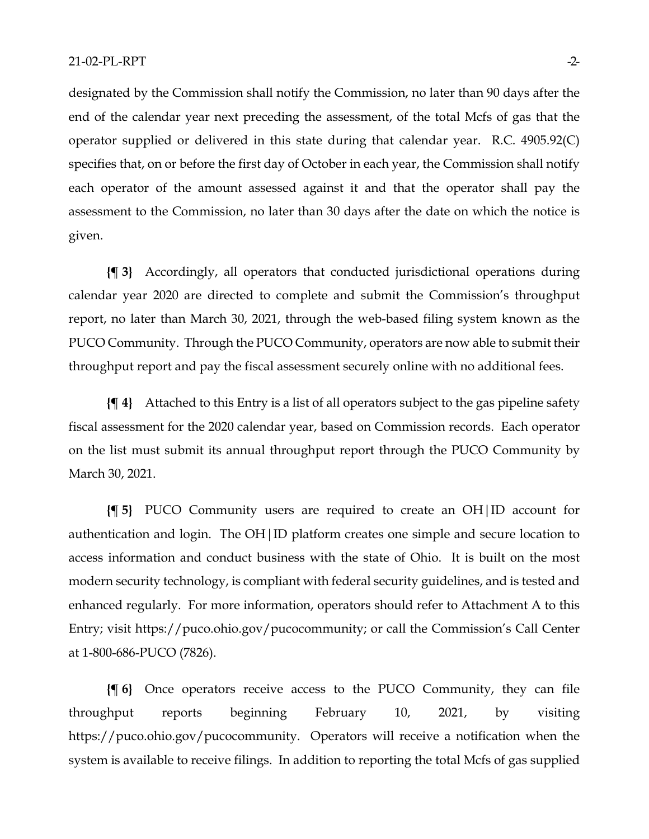designated by the Commission shall notify the Commission, no later than 90 days after the end of the calendar year next preceding the assessment, of the total Mcfs of gas that the operator supplied or delivered in this state during that calendar year. R.C. 4905.92(C) specifies that, on or before the first day of October in each year, the Commission shall notify each operator of the amount assessed against it and that the operator shall pay the assessment to the Commission, no later than 30 days after the date on which the notice is given.

**{¶ 3}** Accordingly, all operators that conducted jurisdictional operations during calendar year 2020 are directed to complete and submit the Commission's throughput report, no later than March 30, 2021, through the web-based filing system known as the PUCO Community. Through the PUCO Community, operators are now able to submit their throughput report and pay the fiscal assessment securely online with no additional fees.

**{¶ 4}** Attached to this Entry is a list of all operators subject to the gas pipeline safety fiscal assessment for the 2020 calendar year, based on Commission records. Each operator on the list must submit its annual throughput report through the PUCO Community by March 30, 2021.

**{¶ 5}** PUCO Community users are required to create an OH|ID account for authentication and login. The OH|ID platform creates one simple and secure location to access information and conduct business with the state of Ohio. It is built on the most modern security technology, is compliant with federal security guidelines, and is tested and enhanced regularly. For more information, operators should refer to Attachment A to this Entry; visit [https://puco.ohio.gov/pucocommunity;](https://puco.ohio.gov/pucocommunity) or call the Commission's Call Center at 1-800-686-PUCO (7826).

**{¶ 6}** Once operators receive access to the PUCO Community, they can file throughput reports beginning February 10, 2021, by visiting https://puco.ohio.gov/pucocommunity. Operators will receive a notification when the system is available to receive filings. In addition to reporting the total Mcfs of gas supplied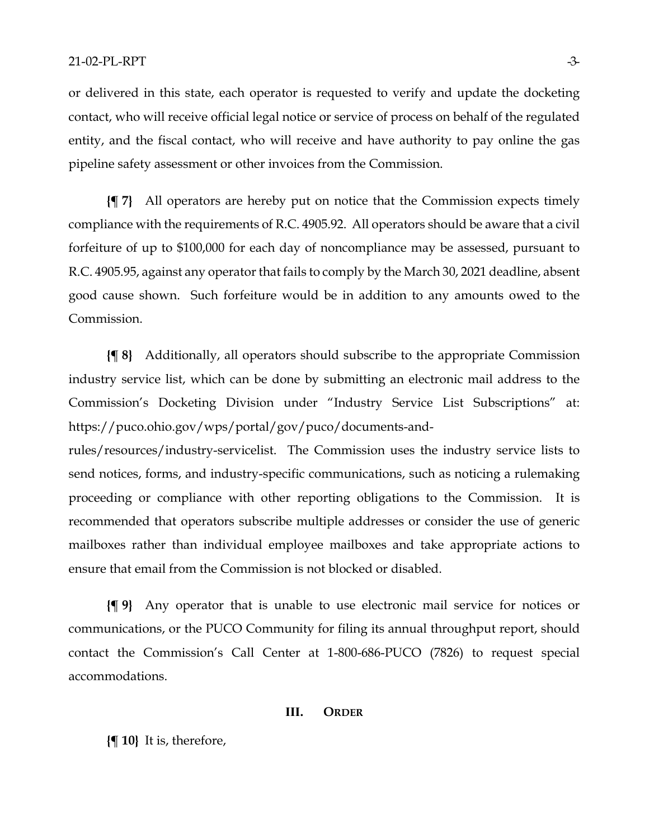or delivered in this state, each operator is requested to verify and update the docketing contact, who will receive official legal notice or service of process on behalf of the regulated entity, and the fiscal contact, who will receive and have authority to pay online the gas pipeline safety assessment or other invoices from the Commission.

**{¶ 7}** All operators are hereby put on notice that the Commission expects timely compliance with the requirements of R.C. 4905.92. All operators should be aware that a civil forfeiture of up to \$100,000 for each day of noncompliance may be assessed, pursuant to R.C. 4905.95, against any operator that fails to comply by the March 30, 2021 deadline, absent good cause shown. Such forfeiture would be in addition to any amounts owed to the Commission.

**{¶ 8}** Additionally, all operators should subscribe to the appropriate Commission industry service list, which can be done by submitting an electronic mail address to the Commission's Docketing Division under "Industry Service List Subscriptions" at: https://puco.ohio.gov/wps/portal/gov/puco/documents-and-

rules/resources/industry-servicelist. The Commission uses the industry service lists to send notices, forms, and industry-specific communications, such as noticing a rulemaking proceeding or compliance with other reporting obligations to the Commission. It is recommended that operators subscribe multiple addresses or consider the use of generic mailboxes rather than individual employee mailboxes and take appropriate actions to ensure that email from the Commission is not blocked or disabled.

**{¶ 9}** Any operator that is unable to use electronic mail service for notices or communications, or the PUCO Community for filing its annual throughput report, should contact the Commission's Call Center at 1-800-686-PUCO (7826) to request special accommodations.

#### **III. ORDER**

**{¶ 10}** It is, therefore,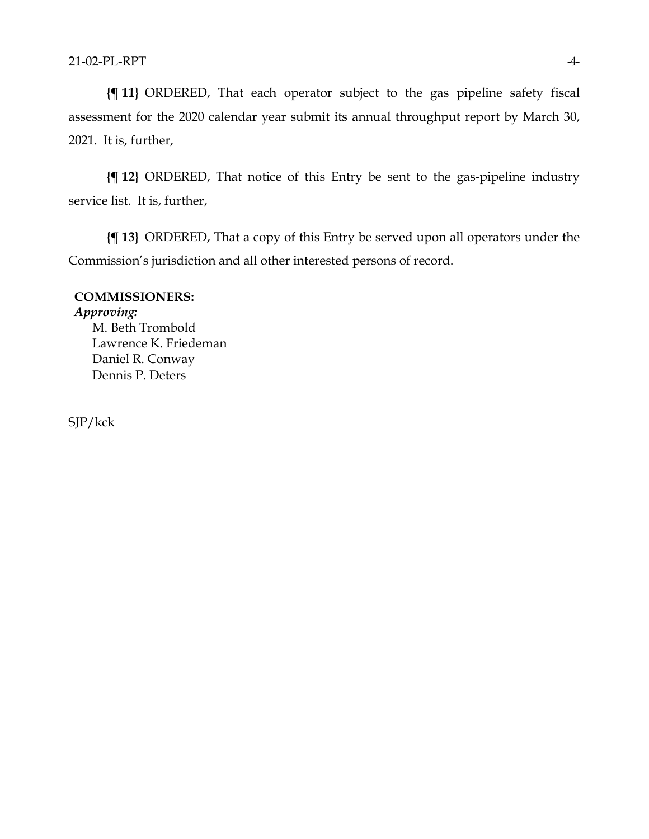**{¶ 11}** ORDERED, That each operator subject to the gas pipeline safety fiscal assessment for the 2020 calendar year submit its annual throughput report by March 30, 2021. It is, further,

**{¶ 12}** ORDERED, That notice of this Entry be sent to the gas-pipeline industry service list. It is, further,

**{¶ 13}** ORDERED, That a copy of this Entry be served upon all operators under the Commission's jurisdiction and all other interested persons of record.

# **COMMISSIONERS:**

*Approving:*  M. Beth Trombold Lawrence K. Friedeman Daniel R. Conway Dennis P. Deters

SJP/kck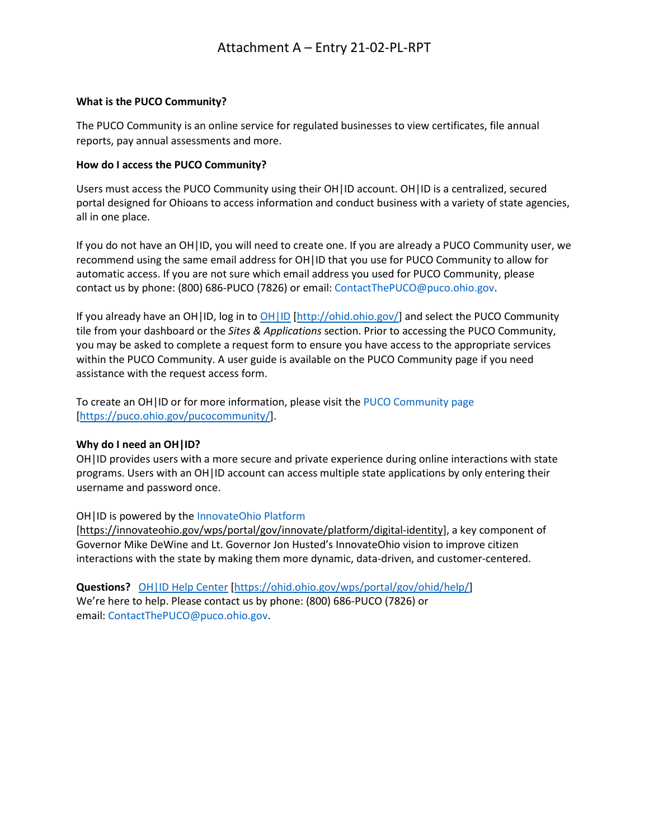## **What is the PUCO Community?**

The PUCO Community is an online service for regulated businesses to view certificates, file annual reports, pay annual assessments and more.

## **How do I access the PUCO Community?**

Users must access the PUCO Community using their OH|ID account. OH|ID is a centralized, secured portal designed for Ohioans to access information and conduct business with a variety of state agencies, all in one place.

If you do not have an OH|ID, you will need to create one. If you are already a PUCO Community user, we recommend using the same email address for OH|ID that you use for PUCO Community to allow for automatic access. If you are not sure which email address you used for PUCO Community, please contact us by phone: (800) 686-PUCO (7826) or email: [ContactThePUCO@puco.ohio.gov.](mailto:ContactThePUCO@puco.ohio.gov)

If you already have an OH|ID, log in to [OH|ID](http://ohid.ohio.gov/) [\[http://ohid.ohio.gov/\]](http://ohid.ohio.gov/) and select the PUCO Community tile from your dashboard or the *Sites & Applications* section. Prior to accessing the PUCO Community, you may be asked to complete a request form to ensure you have access to the appropriate services within the PUCO Community. A user guide is available on the PUCO Community page if you need assistance with the request access form.

To create an OH|ID or for more information, please visit the [PUCO Community page](https://puco.ohio.gov/pucocommunity/) [\[https://puco.ohio.gov/pucocommunity/\]](https://puco.ohio.gov/pucocommunity/).

#### **Why do I need an OH|ID?**

OH|ID provides users with a more secure and private experience during online interactions with state programs. Users with an OH|ID account can access multiple state applications by only entering their username and password once.

#### OH|ID is powered by the [InnovateOhio Platform](https://innovateohio.gov/wps/portal/gov/innovate/platform/digital-identity)

[\[https://innovateohio.gov/wps/portal/gov/innovate/platform/digital-identity\]](https://innovateohio.gov/wps/portal/gov/innovate/platform/digital-identity), a key component of Governor Mike DeWine and Lt. Governor Jon Husted's InnovateOhio vision to improve citizen interactions with the state by making them more dynamic, data-driven, and customer-centered.

**Questions?** [OH|ID Help Center](https://ohid.ohio.gov/wps/portal/gov/ohid/help/) [\[https://ohid.ohio.gov/wps/portal/gov/ohid/help/\]](https://ohid.ohio.gov/wps/portal/gov/ohid/help/) We're here to help. Please contact us by phone: (800) 686-PUCO (7826) or email: [ContactThePUCO@puco.ohio.gov.](mailto:ContactThePUCO@puco.ohio.gov)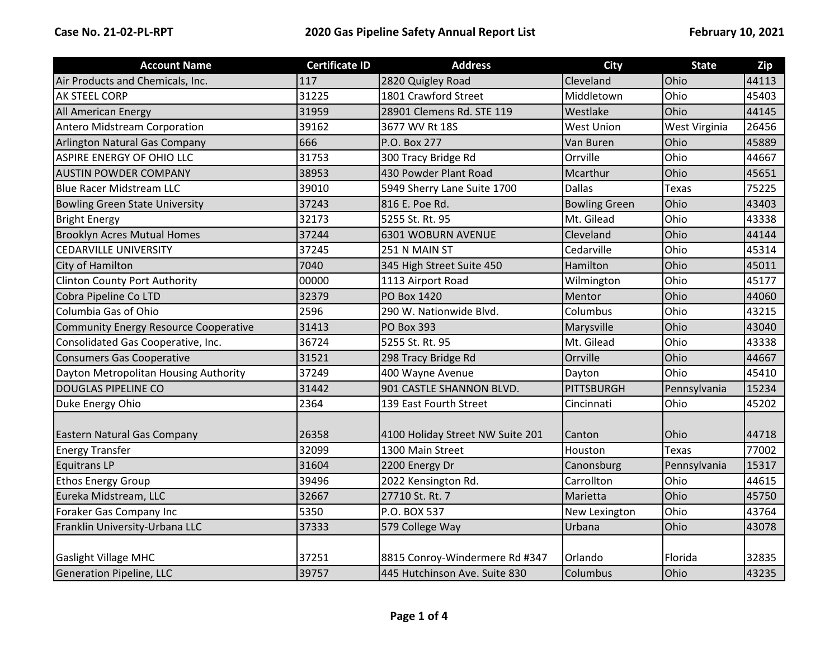| <b>Account Name</b>                   | <b>Certificate ID</b> | <b>Address</b>                   | <b>City</b>          | <b>State</b>  | Zip   |
|---------------------------------------|-----------------------|----------------------------------|----------------------|---------------|-------|
| Air Products and Chemicals, Inc.      | 117                   | 2820 Quigley Road                | Cleveland            | Ohio          | 44113 |
| <b>AK STEEL CORP</b>                  | 31225                 | 1801 Crawford Street             | Middletown           | Ohio          | 45403 |
| <b>All American Energy</b>            | 31959                 | 28901 Clemens Rd. STE 119        | Westlake             | Ohio          | 44145 |
| Antero Midstream Corporation          | 39162                 | 3677 WV Rt 18S                   | <b>West Union</b>    | West Virginia | 26456 |
| Arlington Natural Gas Company         | 666                   | P.O. Box 277                     | Van Buren            | Ohio          | 45889 |
| ASPIRE ENERGY OF OHIO LLC             | 31753                 | 300 Tracy Bridge Rd              | Orrville             | Ohio          | 44667 |
| <b>AUSTIN POWDER COMPANY</b>          | 38953                 | 430 Powder Plant Road            | Mcarthur             | Ohio          | 45651 |
| <b>Blue Racer Midstream LLC</b>       | 39010                 | 5949 Sherry Lane Suite 1700      | <b>Dallas</b>        | <b>Texas</b>  | 75225 |
| <b>Bowling Green State University</b> | 37243                 | 816 E. Poe Rd.                   | <b>Bowling Green</b> | Ohio          | 43403 |
| <b>Bright Energy</b>                  | 32173                 | 5255 St. Rt. 95                  | Mt. Gilead           | Ohio          | 43338 |
| <b>Brooklyn Acres Mutual Homes</b>    | 37244                 | 6301 WOBURN AVENUE               | Cleveland            | Ohio          | 44144 |
| <b>CEDARVILLE UNIVERSITY</b>          | 37245                 | 251 N MAIN ST                    | Cedarville           | Ohio          | 45314 |
| City of Hamilton                      | 7040                  | 345 High Street Suite 450        | Hamilton             | Ohio          | 45011 |
| <b>Clinton County Port Authority</b>  | 00000                 | 1113 Airport Road                | Wilmington           | Ohio          | 45177 |
| Cobra Pipeline Co LTD                 | 32379                 | <b>PO Box 1420</b>               | Mentor               | Ohio          | 44060 |
| Columbia Gas of Ohio                  | 2596                  | 290 W. Nationwide Blvd.          | Columbus             | Ohio          | 43215 |
| Community Energy Resource Cooperative | 31413                 | <b>PO Box 393</b>                | Marysville           | Ohio          | 43040 |
| Consolidated Gas Cooperative, Inc.    | 36724                 | 5255 St. Rt. 95                  | Mt. Gilead           | Ohio          | 43338 |
| <b>Consumers Gas Cooperative</b>      | 31521                 | 298 Tracy Bridge Rd              | Orrville             | Ohio          | 44667 |
| Dayton Metropolitan Housing Authority | 37249                 | 400 Wayne Avenue                 | Dayton               | Ohio          | 45410 |
| <b>DOUGLAS PIPELINE CO</b>            | 31442                 | 901 CASTLE SHANNON BLVD.         | <b>PITTSBURGH</b>    | Pennsylvania  | 15234 |
| Duke Energy Ohio                      | 2364                  | 139 East Fourth Street           | Cincinnati           | Ohio          | 45202 |
|                                       |                       |                                  |                      |               |       |
| Eastern Natural Gas Company           | 26358                 | 4100 Holiday Street NW Suite 201 | Canton               | Ohio          | 44718 |
| <b>Energy Transfer</b>                | 32099                 | 1300 Main Street                 | Houston              | <b>Texas</b>  | 77002 |
| <b>Equitrans LP</b>                   | 31604                 | 2200 Energy Dr                   | Canonsburg           | Pennsylvania  | 15317 |
| <b>Ethos Energy Group</b>             | 39496                 | 2022 Kensington Rd.              | Carrollton           | Ohio          | 44615 |
| Eureka Midstream, LLC                 | 32667                 | 27710 St. Rt. 7                  | Marietta             | Ohio          | 45750 |
| Foraker Gas Company Inc               | 5350                  | P.O. BOX 537                     | New Lexington        | Ohio          | 43764 |
| Franklin University-Urbana LLC        | 37333                 | 579 College Way                  | Urbana               | Ohio          | 43078 |
|                                       |                       |                                  |                      |               |       |
| <b>Gaslight Village MHC</b>           | 37251                 | 8815 Conroy-Windermere Rd #347   | Orlando              | Florida       | 32835 |
| Generation Pipeline, LLC              | 39757                 | 445 Hutchinson Ave. Suite 830    | Columbus             | Ohio          | 43235 |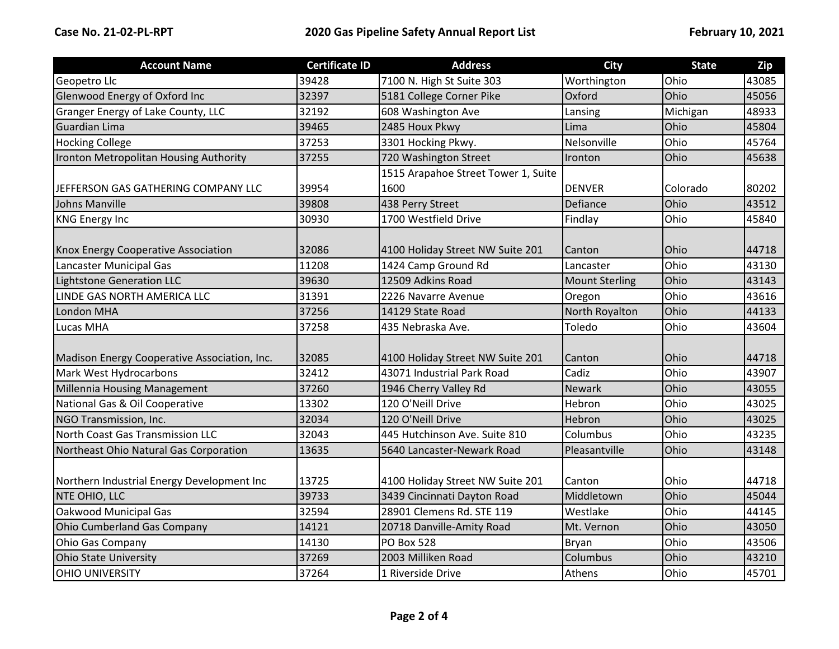| <b>Account Name</b>                          | <b>Certificate ID</b> | <b>Address</b>                      | <b>City</b>           | <b>State</b> | Zip   |
|----------------------------------------------|-----------------------|-------------------------------------|-----------------------|--------------|-------|
| Geopetro Llc                                 | 39428                 | 7100 N. High St Suite 303           | Worthington           | Ohio         | 43085 |
| Glenwood Energy of Oxford Inc                | 32397                 | 5181 College Corner Pike            | Oxford                | Ohio         | 45056 |
| Granger Energy of Lake County, LLC           | 32192                 | 608 Washington Ave                  | Lansing               | Michigan     | 48933 |
| Guardian Lima                                | 39465                 | 2485 Houx Pkwy                      | Lima                  | Ohio         | 45804 |
| <b>Hocking College</b>                       | 37253                 | 3301 Hocking Pkwy.                  | Nelsonville           | Ohio         | 45764 |
| Ironton Metropolitan Housing Authority       | 37255                 | 720 Washington Street               | Ironton               | Ohio         | 45638 |
|                                              |                       | 1515 Arapahoe Street Tower 1, Suite |                       |              |       |
| JEFFERSON GAS GATHERING COMPANY LLC          | 39954                 | 1600                                | <b>DENVER</b>         | Colorado     | 80202 |
| Johns Manville                               | 39808                 | 438 Perry Street                    | Defiance              | Ohio         | 43512 |
| <b>KNG Energy Inc</b>                        | 30930                 | 1700 Westfield Drive                | Findlay               | Ohio         | 45840 |
|                                              |                       |                                     |                       |              |       |
| <b>Knox Energy Cooperative Association</b>   | 32086                 | 4100 Holiday Street NW Suite 201    | Canton                | Ohio         | 44718 |
| Lancaster Municipal Gas                      | 11208                 | 1424 Camp Ground Rd                 | Lancaster             | Ohio         | 43130 |
| Lightstone Generation LLC                    | 39630                 | 12509 Adkins Road                   | <b>Mount Sterling</b> | Ohio         | 43143 |
| LINDE GAS NORTH AMERICA LLC                  | 31391                 | 2226 Navarre Avenue                 | Oregon                | Ohio         | 43616 |
| <b>London MHA</b>                            | 37256                 | 14129 State Road                    | North Royalton        | Ohio         | 44133 |
| Lucas MHA                                    | 37258                 | 435 Nebraska Ave.                   | Toledo                | Ohio         | 43604 |
|                                              |                       |                                     |                       |              |       |
| Madison Energy Cooperative Association, Inc. | 32085                 | 4100 Holiday Street NW Suite 201    | Canton                | Ohio         | 44718 |
| Mark West Hydrocarbons                       | 32412                 | 43071 Industrial Park Road          | Cadiz                 | Ohio         | 43907 |
| Millennia Housing Management                 | 37260                 | 1946 Cherry Valley Rd               | <b>Newark</b>         | Ohio         | 43055 |
| National Gas & Oil Cooperative               | 13302                 | 120 O'Neill Drive                   | Hebron                | Ohio         | 43025 |
| NGO Transmission, Inc.                       | 32034                 | 120 O'Neill Drive                   | Hebron                | Ohio         | 43025 |
| North Coast Gas Transmission LLC             | 32043                 | 445 Hutchinson Ave. Suite 810       | Columbus              | Ohio         | 43235 |
| Northeast Ohio Natural Gas Corporation       | 13635                 | 5640 Lancaster-Newark Road          | Pleasantville         | Ohio         | 43148 |
|                                              |                       |                                     |                       |              |       |
| Northern Industrial Energy Development Inc   | 13725                 | 4100 Holiday Street NW Suite 201    | Canton                | Ohio         | 44718 |
| NTE OHIO, LLC                                | 39733                 | 3439 Cincinnati Dayton Road         | Middletown            | Ohio         | 45044 |
| Oakwood Municipal Gas                        | 32594                 | 28901 Clemens Rd. STE 119           | Westlake              | Ohio         | 44145 |
| Ohio Cumberland Gas Company                  | 14121                 | 20718 Danville-Amity Road           | Mt. Vernon            | Ohio         | 43050 |
| <b>Ohio Gas Company</b>                      | 14130                 | <b>PO Box 528</b>                   | <b>Bryan</b>          | Ohio         | 43506 |
| <b>Ohio State University</b>                 | 37269                 | 2003 Milliken Road                  | Columbus              | Ohio         | 43210 |
| <b>OHIO UNIVERSITY</b>                       | 37264                 | 1 Riverside Drive                   | Athens                | Ohio         | 45701 |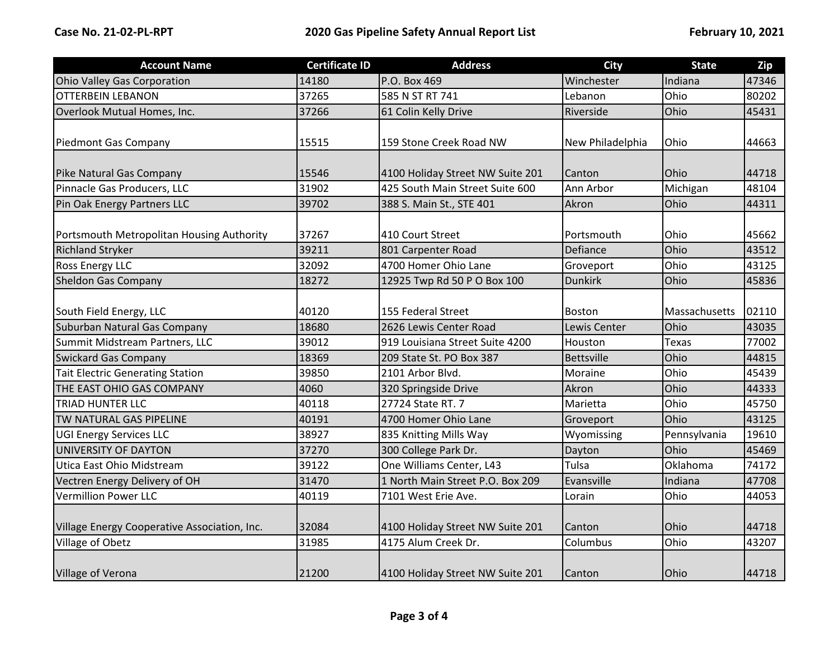| <b>Account Name</b>                          | <b>Certificate ID</b> | <b>Address</b>                   | <b>City</b>       | <b>State</b>  | Zip   |
|----------------------------------------------|-----------------------|----------------------------------|-------------------|---------------|-------|
| Ohio Valley Gas Corporation                  | 14180                 | P.O. Box 469                     | Winchester        | Indiana       | 47346 |
| <b>OTTERBEIN LEBANON</b>                     | 37265                 | 585 N ST RT 741                  | Lebanon           | Ohio          | 80202 |
| Overlook Mutual Homes, Inc.                  | 37266                 | 61 Colin Kelly Drive             | Riverside         | Ohio          | 45431 |
|                                              |                       |                                  |                   |               |       |
| Piedmont Gas Company                         | 15515                 | 159 Stone Creek Road NW          | New Philadelphia  | Ohio          | 44663 |
|                                              |                       |                                  |                   |               |       |
| Pike Natural Gas Company                     | 15546                 | 4100 Holiday Street NW Suite 201 | Canton            | Ohio          | 44718 |
| Pinnacle Gas Producers, LLC                  | 31902                 | 425 South Main Street Suite 600  | Ann Arbor         | Michigan      | 48104 |
| Pin Oak Energy Partners LLC                  | 39702                 | 388 S. Main St., STE 401         | Akron             | Ohio          | 44311 |
|                                              |                       |                                  |                   |               |       |
| Portsmouth Metropolitan Housing Authority    | 37267                 | 410 Court Street                 | Portsmouth        | Ohio          | 45662 |
| <b>Richland Stryker</b>                      | 39211                 | 801 Carpenter Road               | Defiance          | Ohio          | 43512 |
| <b>Ross Energy LLC</b>                       | 32092                 | 4700 Homer Ohio Lane             | Groveport         | Ohio          | 43125 |
| <b>Sheldon Gas Company</b>                   | 18272                 | 12925 Twp Rd 50 P O Box 100      | <b>Dunkirk</b>    | Ohio          | 45836 |
|                                              |                       |                                  |                   |               |       |
| South Field Energy, LLC                      | 40120                 | 155 Federal Street               | <b>Boston</b>     | Massachusetts | 02110 |
| Suburban Natural Gas Company                 | 18680                 | 2626 Lewis Center Road           | Lewis Center      | Ohio          | 43035 |
| Summit Midstream Partners, LLC               | 39012                 | 919 Louisiana Street Suite 4200  | Houston           | <b>Texas</b>  | 77002 |
| <b>Swickard Gas Company</b>                  | 18369                 | 209 State St. PO Box 387         | <b>Bettsville</b> | Ohio          | 44815 |
| <b>Tait Electric Generating Station</b>      | 39850                 | 2101 Arbor Blvd.                 | Moraine           | Ohio          | 45439 |
| THE EAST OHIO GAS COMPANY                    | 4060                  | 320 Springside Drive             | Akron             | Ohio          | 44333 |
| <b>TRIAD HUNTER LLC</b>                      | 40118                 | 27724 State RT. 7                | Marietta          | Ohio          | 45750 |
| TW NATURAL GAS PIPELINE                      | 40191                 | 4700 Homer Ohio Lane             | Groveport         | Ohio          | 43125 |
| <b>UGI Energy Services LLC</b>               | 38927                 | 835 Knitting Mills Way           | Wyomissing        | Pennsylvania  | 19610 |
| UNIVERSITY OF DAYTON                         | 37270                 | 300 College Park Dr.             | Dayton            | Ohio          | 45469 |
| Utica East Ohio Midstream                    | 39122                 | One Williams Center, L43         | Tulsa             | Oklahoma      | 74172 |
| Vectren Energy Delivery of OH                | 31470                 | 1 North Main Street P.O. Box 209 | Evansville        | Indiana       | 47708 |
| <b>Vermillion Power LLC</b>                  | 40119                 | 7101 West Erie Ave.              | Lorain            | Ohio          | 44053 |
|                                              |                       |                                  |                   |               |       |
| Village Energy Cooperative Association, Inc. | 32084                 | 4100 Holiday Street NW Suite 201 | Canton            | Ohio          | 44718 |
| Village of Obetz                             | 31985                 | 4175 Alum Creek Dr.              | Columbus          | Ohio          | 43207 |
|                                              |                       |                                  |                   |               |       |
| Village of Verona                            | 21200                 | 4100 Holiday Street NW Suite 201 | Canton            | Ohio          | 44718 |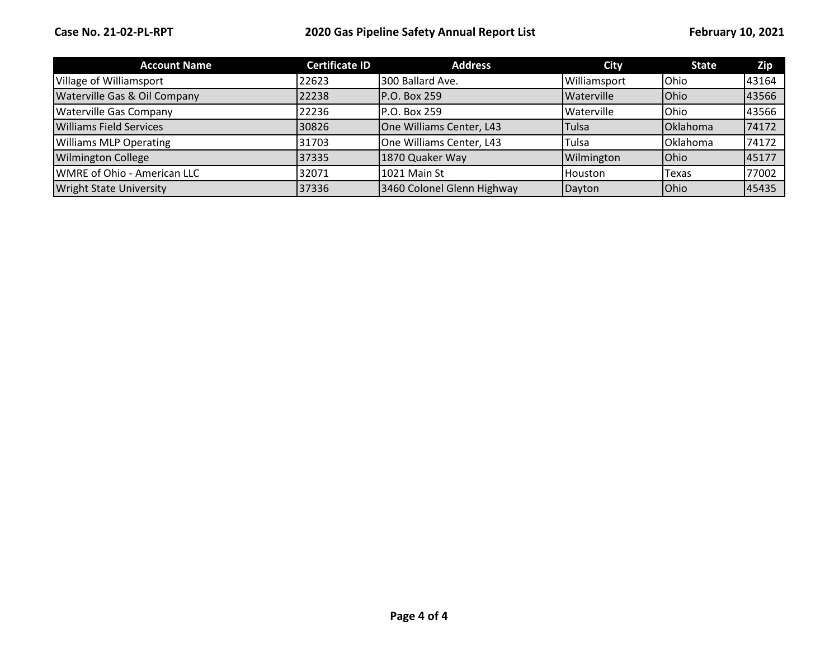| <b>Account Name</b>            | <b>Certificate ID</b> | <b>Address</b>             | City              | <b>State</b> | Zip   |
|--------------------------------|-----------------------|----------------------------|-------------------|--------------|-------|
| Village of Williamsport        | 22623                 | 300 Ballard Ave.           | Williamsport      | Ohio         | 43164 |
| Waterville Gas & Oil Company   | 22238                 | <b>P.O. Box 259</b>        | <b>Waterville</b> | Ohio         | 43566 |
| <b>Waterville Gas Company</b>  | 22236                 | P.O. Box 259               | Waterville        | Ohio         | 43566 |
| <b>Williams Field Services</b> | 30826                 | One Williams Center, L43   | <b>Tulsa</b>      | Oklahoma     | 74172 |
| <b>Williams MLP Operating</b>  | 31703                 | One Williams Center, L43   | <b>Tulsa</b>      | Oklahoma     | 74172 |
| <b>Wilmington College</b>      | 37335                 | 1870 Quaker Way            | Wilmington        | Ohio         | 45177 |
| WMRE of Ohio - American LLC    | 32071                 | 1021 Main St               | Houston           | Texas        | 77002 |
| <b>Wright State University</b> | 37336                 | 3460 Colonel Glenn Highway | Dayton            | Ohio         | 45435 |